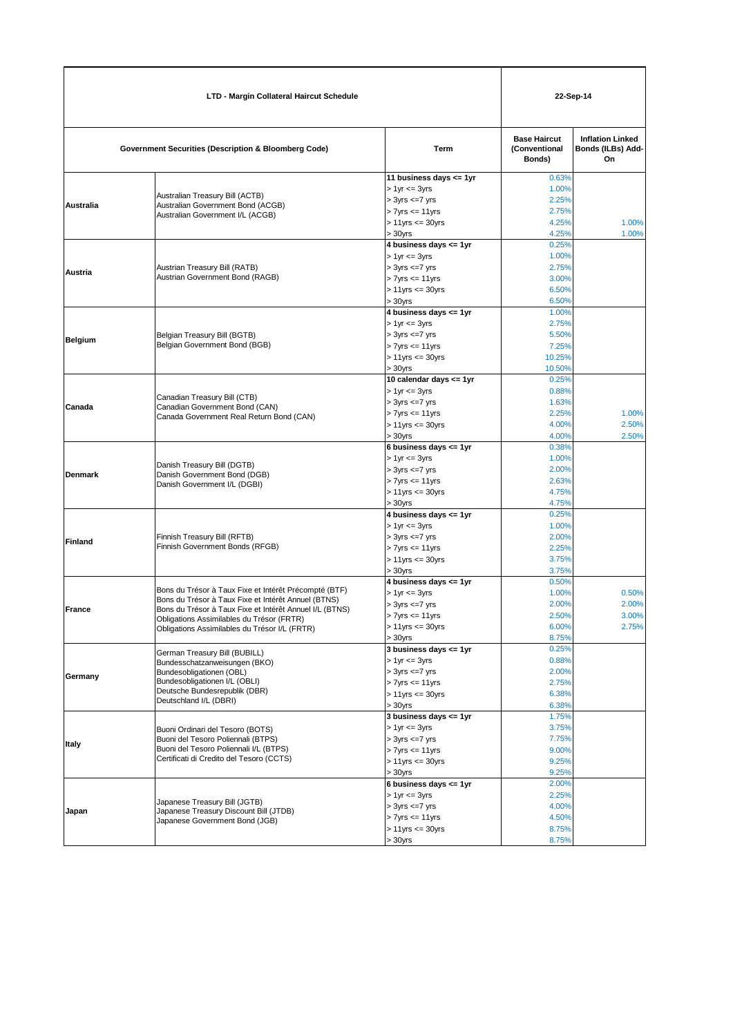| LTD - Margin Collateral Haircut Schedule |                                                                                                                                                                                                                                                                                                                                          | 22-Sep-14                                         |                                                |                                                    |
|------------------------------------------|------------------------------------------------------------------------------------------------------------------------------------------------------------------------------------------------------------------------------------------------------------------------------------------------------------------------------------------|---------------------------------------------------|------------------------------------------------|----------------------------------------------------|
|                                          | <b>Government Securities (Description &amp; Bloomberg Code)</b>                                                                                                                                                                                                                                                                          | <b>Term</b>                                       | <b>Base Haircut</b><br>(Conventional<br>Bonds) | <b>Inflation Linked</b><br>Bonds (ILBs) Add-<br>On |
|                                          |                                                                                                                                                                                                                                                                                                                                          | 11 business days <= 1yr                           | 0.63%                                          |                                                    |
|                                          |                                                                                                                                                                                                                                                                                                                                          | $> 1$ yr $= 3$ yrs                                | 1.00%                                          |                                                    |
| Australia                                | Australian Treasury Bill (ACTB)<br>Australian Government Bond (ACGB)                                                                                                                                                                                                                                                                     | $>$ 3yrs $\leq$ 7 yrs                             | 2.25%                                          |                                                    |
|                                          | Australian Government I/L (ACGB)                                                                                                                                                                                                                                                                                                         | $> 7$ yrs $\leq 11$ yrs                           | 2.75%                                          |                                                    |
|                                          |                                                                                                                                                                                                                                                                                                                                          | $> 11$ yrs $\leq 30$ yrs                          | 4.25%                                          | 1.00%                                              |
|                                          |                                                                                                                                                                                                                                                                                                                                          | $> 30$ yrs                                        | 4.25%                                          | 1.00%                                              |
|                                          |                                                                                                                                                                                                                                                                                                                                          | 4 business days <= 1yr                            | 0.25%<br>1.00%                                 |                                                    |
|                                          |                                                                                                                                                                                                                                                                                                                                          | $> 1$ yr $= 3$ yrs<br>$> 3yrs \leq -7yrs$         | 2.75%                                          |                                                    |
| Austria                                  | Austrian Treasury Bill (RATB)<br>Austrian Government Bond (RAGB)                                                                                                                                                                                                                                                                         | $> 7$ yrs $\le$ 11yrs                             | 3.00%                                          |                                                    |
|                                          |                                                                                                                                                                                                                                                                                                                                          | $> 11$ yrs $\leq 30$ yrs                          | 6.50%                                          |                                                    |
|                                          |                                                                                                                                                                                                                                                                                                                                          | $> 30$ yrs                                        | 6.50%                                          |                                                    |
|                                          |                                                                                                                                                                                                                                                                                                                                          | 4 business days <= 1yr                            | 1.00%                                          |                                                    |
|                                          |                                                                                                                                                                                                                                                                                                                                          | $> 1$ yr $= 3$ yrs                                | 2.75%                                          |                                                    |
| <b>Belgium</b>                           | <b>Belgian Treasury Bill (BGTB)</b>                                                                                                                                                                                                                                                                                                      | $> 3yrs \leq -7yrs$                               | 5.50%                                          |                                                    |
|                                          | Belgian Government Bond (BGB)                                                                                                                                                                                                                                                                                                            | $> 7yrs \leq 11yrs$                               | 7.25%                                          |                                                    |
|                                          |                                                                                                                                                                                                                                                                                                                                          | $> 11$ yrs $\leq 30$ yrs                          | 10.25%                                         |                                                    |
|                                          |                                                                                                                                                                                                                                                                                                                                          | $>30$ yrs                                         | 10.50%                                         |                                                    |
|                                          |                                                                                                                                                                                                                                                                                                                                          | 10 calendar days <= 1yr                           | 0.25%                                          |                                                    |
|                                          | Canadian Treasury Bill (CTB)                                                                                                                                                                                                                                                                                                             | $> 1$ yr $= 3$ yrs<br>$>$ 3yrs $\leq$ 7 yrs       | 0.88%<br>1.63%                                 |                                                    |
| Canada                                   | Canadian Government Bond (CAN)                                                                                                                                                                                                                                                                                                           | $> 7$ yrs $\leq 11$ yrs                           | 2.25%                                          | 1.00%                                              |
|                                          | Canada Government Real Return Bond (CAN)                                                                                                                                                                                                                                                                                                 | $> 11$ yrs $<= 30$ yrs                            | 4.00%                                          | 2.50%                                              |
|                                          |                                                                                                                                                                                                                                                                                                                                          | $> 30$ yrs                                        | 4.00%                                          | 2.50%                                              |
|                                          |                                                                                                                                                                                                                                                                                                                                          | 6 business days $\leq$ 1yr                        | 0.38%                                          |                                                    |
|                                          |                                                                                                                                                                                                                                                                                                                                          | $> 1$ yr $= 3$ yrs                                | 1.00%                                          |                                                    |
| <b>Denmark</b>                           | Danish Treasury Bill (DGTB)<br>Danish Government Bond (DGB)                                                                                                                                                                                                                                                                              | $>$ 3yrs $\leq$ =7 yrs                            | 2.00%                                          |                                                    |
|                                          | Danish Government I/L (DGBI)                                                                                                                                                                                                                                                                                                             | $> 7$ yrs $\le$ 11yrs                             | 2.63%                                          |                                                    |
|                                          |                                                                                                                                                                                                                                                                                                                                          | $> 11$ yrs $<= 30$ yrs                            | 4.75%                                          |                                                    |
|                                          |                                                                                                                                                                                                                                                                                                                                          | > 30yrs                                           | 4.75%                                          |                                                    |
|                                          |                                                                                                                                                                                                                                                                                                                                          | 4 business days <= 1yr                            | 0.25%                                          |                                                    |
|                                          |                                                                                                                                                                                                                                                                                                                                          | $> 1$ yr $= 3$ yrs<br>$> 3yrs \leq -7yrs$         | 1.00%<br>2.00%                                 |                                                    |
| <b>Finland</b>                           | Finnish Treasury Bill (RFTB)<br>Finnish Government Bonds (RFGB)<br>Bons du Trésor à Taux Fixe et Intérêt Précompté (BTF)<br>Bons du Trésor à Taux Fixe et Intérêt Annuel (BTNS)<br>Bons du Trésor à Taux Fixe et Intérêt Annuel I/L (BTNS)<br>Obligations Assimilables du Trésor (FRTR)<br>Obligations Assimilables du Trésor I/L (FRTR) | $> 7$ yrs $\leq 11$ yrs                           | 2.25%                                          |                                                    |
|                                          |                                                                                                                                                                                                                                                                                                                                          | $> 11$ yrs $<= 30$ yrs                            | 3.75%                                          |                                                    |
|                                          |                                                                                                                                                                                                                                                                                                                                          | $> 30$ yrs                                        | 3.75%                                          |                                                    |
|                                          |                                                                                                                                                                                                                                                                                                                                          | 4 business days <= 1yr                            | 0.50%                                          |                                                    |
|                                          |                                                                                                                                                                                                                                                                                                                                          | $> 1$ yr $= 3$ yrs                                | 1.00%                                          | 0.50%                                              |
| <b>France</b>                            |                                                                                                                                                                                                                                                                                                                                          | $> 3yrs \leq -7yrs$                               | 2.00%                                          | 2.00%                                              |
|                                          |                                                                                                                                                                                                                                                                                                                                          | $> 7$ yrs $\leq 11$ yrs                           | 2.50%                                          | 3.00%                                              |
|                                          |                                                                                                                                                                                                                                                                                                                                          | $> 11$ yrs $<= 30$ yrs                            | 6.00%                                          | 2.75%                                              |
|                                          |                                                                                                                                                                                                                                                                                                                                          | $>30$ vrs                                         | 8.75%                                          |                                                    |
|                                          | German Treasury Bill (BUBILL)                                                                                                                                                                                                                                                                                                            | 3 business days $\leq$ 1yr<br>$> 1$ yr $= 3$ yrs  | 0.25%<br>0.88%                                 |                                                    |
|                                          | Bundesschatzanweisungen (BKO)<br>Bundesobligationen (OBL)                                                                                                                                                                                                                                                                                | $>$ 3yrs $\leq$ =7 yrs                            | 2.00%                                          |                                                    |
| Germany                                  | Bundesobligationen I/L (OBLI)                                                                                                                                                                                                                                                                                                            | $> 7$ yrs $\leq 11$ yrs                           | 2.75%                                          |                                                    |
|                                          | Deutsche Bundesrepublik (DBR)                                                                                                                                                                                                                                                                                                            | $> 11$ yrs $<= 30$ yrs                            | 6.38%                                          |                                                    |
|                                          | Deutschland I/L (DBRI)                                                                                                                                                                                                                                                                                                                   | $> 30$ yrs                                        | 6.38%                                          |                                                    |
|                                          |                                                                                                                                                                                                                                                                                                                                          | 3 business days $\leq$ 1yr                        | 1.75%                                          |                                                    |
|                                          | Buoni Ordinari del Tesoro (BOTS)                                                                                                                                                                                                                                                                                                         | $> 1$ yr $\leq$ 3yrs                              | 3.75%                                          |                                                    |
| <b>Italy</b>                             | Buoni del Tesoro Poliennali (BTPS)<br>Buoni del Tesoro Poliennali I/L (BTPS)<br>Certificati di Credito del Tesoro (CCTS)                                                                                                                                                                                                                 | $>$ 3yrs $\leq$ 7 yrs                             | 7.75%                                          |                                                    |
|                                          |                                                                                                                                                                                                                                                                                                                                          | $> 7$ yrs $\leq 11$ yrs                           | 9.00%                                          |                                                    |
|                                          |                                                                                                                                                                                                                                                                                                                                          | $> 11$ yrs $<= 30$ yrs                            | 9.25%                                          |                                                    |
|                                          |                                                                                                                                                                                                                                                                                                                                          | $> 30$ yrs                                        | 9.25%                                          |                                                    |
|                                          |                                                                                                                                                                                                                                                                                                                                          | 6 business days $\leq$ 1yr<br>$> 1$ yr $<= 3$ yrs | 2.00%<br>2.25%                                 |                                                    |
|                                          | Japanese Treasury Bill (JGTB)                                                                                                                                                                                                                                                                                                            | $> 3yrs \leq -7yrs$                               | 4.00%                                          |                                                    |
| Japan                                    | Japanese Treasury Discount Bill (JTDB)                                                                                                                                                                                                                                                                                                   | $> 7$ yrs $\leq 11$ yrs                           | 4.50%                                          |                                                    |
|                                          | Japanese Government Bond (JGB)                                                                                                                                                                                                                                                                                                           | $> 11$ yrs $\leq 30$ yrs                          | 8.75%                                          |                                                    |
|                                          |                                                                                                                                                                                                                                                                                                                                          | $>30$ yrs                                         | 8.75%                                          |                                                    |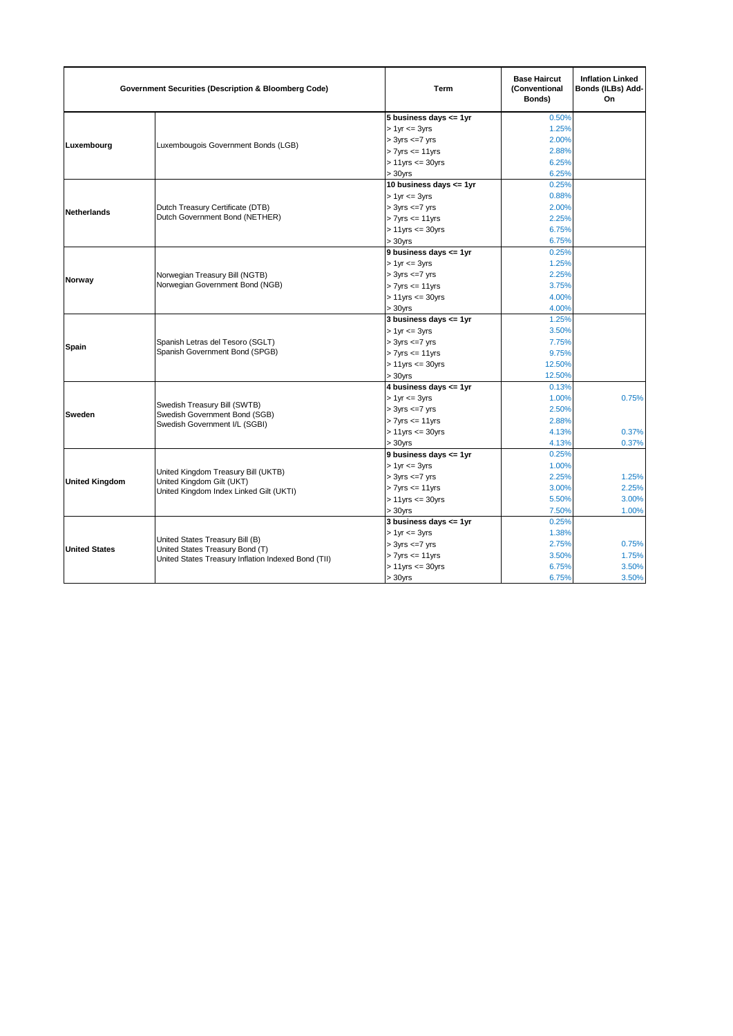| <b>Government Securities (Description &amp; Bloomberg Code)</b> |                                                                                                                           | Term                       | <b>Base Haircut</b><br>(Conventional<br>Bonds) | <b>Inflation Linked</b><br>Bonds (ILBs) Add-<br>On |
|-----------------------------------------------------------------|---------------------------------------------------------------------------------------------------------------------------|----------------------------|------------------------------------------------|----------------------------------------------------|
|                                                                 |                                                                                                                           | 5 business days <= 1yr     | 0.50%                                          |                                                    |
|                                                                 |                                                                                                                           | $> 1$ yr $<= 3$ yrs        | 1.25%                                          |                                                    |
|                                                                 |                                                                                                                           | $> 3yrs \leq -7yrs$        | 2.00%                                          |                                                    |
| Luxembourg                                                      | Luxembougois Government Bonds (LGB)                                                                                       | $> 7$ yrs $\leq 11$ yrs    | 2.88%                                          |                                                    |
|                                                                 |                                                                                                                           | $> 11$ yrs $<= 30$ yrs     | 6.25%                                          |                                                    |
|                                                                 |                                                                                                                           | $> 30$ yrs                 | 6.25%                                          |                                                    |
|                                                                 |                                                                                                                           | 10 business days <= 1yr    | 0.25%                                          |                                                    |
|                                                                 |                                                                                                                           | $> 1$ yr $= 3$ yrs         | 0.88%                                          |                                                    |
| Netherlands                                                     | Dutch Treasury Certificate (DTB)                                                                                          | $> 3yrs \leq -7yrs$        | 2.00%                                          |                                                    |
|                                                                 | Dutch Government Bond (NETHER)                                                                                            | $> 7$ yrs $<= 11$ yrs      | 2.25%                                          |                                                    |
|                                                                 |                                                                                                                           | $> 11$ yrs $<= 30$ yrs     | 6.75%                                          |                                                    |
|                                                                 |                                                                                                                           | $> 30$ yrs                 | 6.75%                                          |                                                    |
|                                                                 |                                                                                                                           | 9 business days <= 1yr     | 0.25%                                          |                                                    |
|                                                                 |                                                                                                                           | $> 1$ yr $<= 3$ yrs        | 1.25%                                          |                                                    |
| Norway                                                          | Norwegian Treasury Bill (NGTB)                                                                                            | $>$ 3yrs $\leq$ 7 yrs      | 2.25%                                          |                                                    |
|                                                                 | Norwegian Government Bond (NGB)                                                                                           | $> 7$ yrs $<= 11$ yrs      | 3.75%                                          |                                                    |
|                                                                 |                                                                                                                           | $> 11$ yrs $<= 30$ yrs     | 4.00%                                          |                                                    |
|                                                                 |                                                                                                                           | $> 30$ yrs                 | 4.00%                                          |                                                    |
|                                                                 |                                                                                                                           | 3 business days <= 1yr     | 1.25%                                          |                                                    |
|                                                                 |                                                                                                                           | $> 1$ yr $<= 3$ yrs        | 3.50%                                          |                                                    |
| Spain                                                           | Spanish Letras del Tesoro (SGLT)<br>Spanish Government Bond (SPGB)                                                        | $> 3yrs \leq -7yrs$        | 7.75%                                          |                                                    |
|                                                                 |                                                                                                                           | $> 7$ yrs $\leq 11$ yrs    | 9.75%                                          |                                                    |
|                                                                 |                                                                                                                           | $> 11$ yrs $\leq 30$ yrs   | 12.50%                                         |                                                    |
|                                                                 |                                                                                                                           | $> 30$ yrs                 | 12.50%                                         |                                                    |
|                                                                 |                                                                                                                           | 4 business days <= 1yr     | 0.13%                                          |                                                    |
|                                                                 | Swedish Treasury Bill (SWTB)<br>Swedish Government Bond (SGB)<br>Swedish Government I/L (SGBI)                            | $> 1$ yr $\leq$ 3yrs       | 1.00%                                          | 0.75%                                              |
| Sweden                                                          |                                                                                                                           | $> 3yrs \leq -7yrs$        | 2.50%                                          |                                                    |
|                                                                 |                                                                                                                           | $> 7$ yrs $<= 11$ yrs      | 2.88%                                          |                                                    |
|                                                                 |                                                                                                                           | $> 11$ yrs $<= 30$ yrs     | 4.13%                                          | 0.37%                                              |
|                                                                 |                                                                                                                           | $> 30$ yrs                 | 4.13%                                          | 0.37%                                              |
| <b>United Kingdom</b>                                           |                                                                                                                           | 9 business days $\leq$ 1yr | 0.25%                                          |                                                    |
|                                                                 | United Kingdom Treasury Bill (UKTB)<br>United Kingdom Gilt (UKT)<br>United Kingdom Index Linked Gilt (UKTI)               | $> 1$ yr $\leq$ 3yrs       | 1.00%                                          |                                                    |
|                                                                 |                                                                                                                           | $>$ 3yrs $\leq$ 7 yrs      | 2.25%                                          | 1.25%                                              |
|                                                                 |                                                                                                                           | $> 7$ yrs $<= 11$ yrs      | 3.00%                                          | 2.25%                                              |
|                                                                 |                                                                                                                           | $> 11$ yrs $<= 30$ yrs     | 5.50%                                          | 3.00%                                              |
|                                                                 |                                                                                                                           | $>30$ vrs                  | 7.50%                                          | 1.00%                                              |
|                                                                 |                                                                                                                           | 3 business days $\leq$ 1yr | 0.25%                                          |                                                    |
|                                                                 |                                                                                                                           | $> 1$ yr $<= 3$ yrs        | 1.38%                                          |                                                    |
| <b>United States</b>                                            | United States Treasury Bill (B)<br>United States Treasury Bond (T)<br>United States Treasury Inflation Indexed Bond (TII) | $>$ 3yrs $\leq$ 7 yrs      | 2.75%                                          | 0.75%                                              |
|                                                                 |                                                                                                                           | $> 7$ yrs $\leq 11$ yrs    | 3.50%                                          | 1.75%                                              |
|                                                                 |                                                                                                                           | $> 11$ yrs $\leq 30$ yrs   | 6.75%                                          | 3.50%                                              |
|                                                                 |                                                                                                                           | $> 30$ yrs                 | 6.75%                                          | 3.50%                                              |